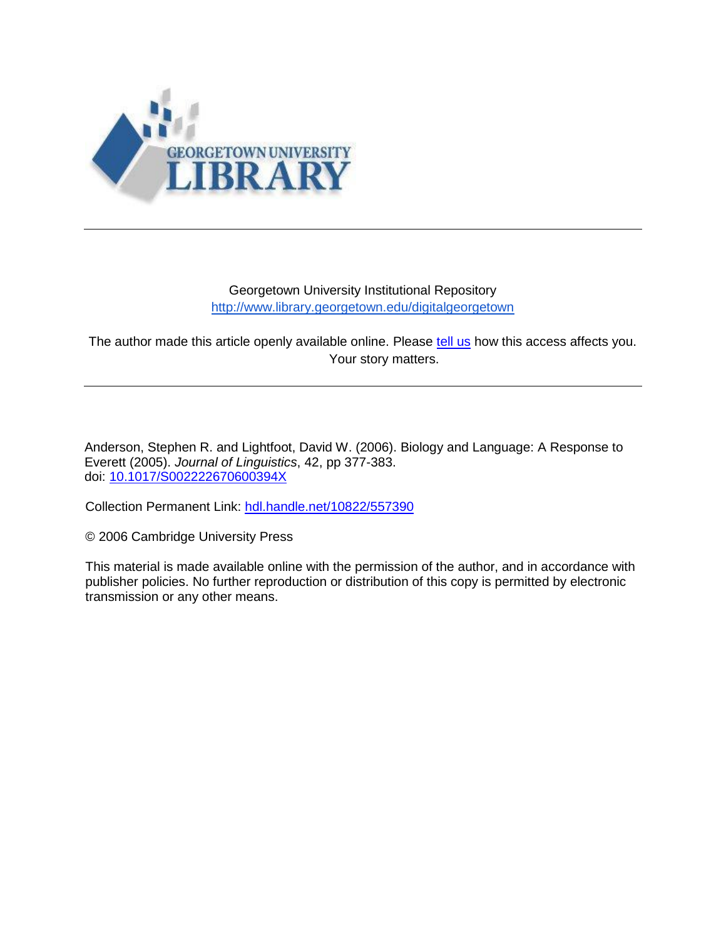

#### Georgetown University Institutional Repository <http://www.library.georgetown.edu/digitalgeorgetown>

The author made this article openly available online. Please [tell us](https://www.library.georgetown.edu/ir/share-story) how this access affects you. Your story matters.

Anderson, Stephen R. and Lightfoot, David W. (2006). Biology and Language: A Response to Everett (2005). *Journal of Linguistics*, 42, pp 377-383. doi: [10.1017/S002222670600394X](http://dx.doi.org/10.1017/S002222670600394X)

Collection Permanent Link: [hdl.handle.net/10822/557390](hdl.handle.net/10822/707726)

© 2006 Cambridge University Press

This material is made available online with the permission of the author, and in accordance with publisher policies. No further reproduction or distribution of this copy is permitted by electronic transmission or any other means.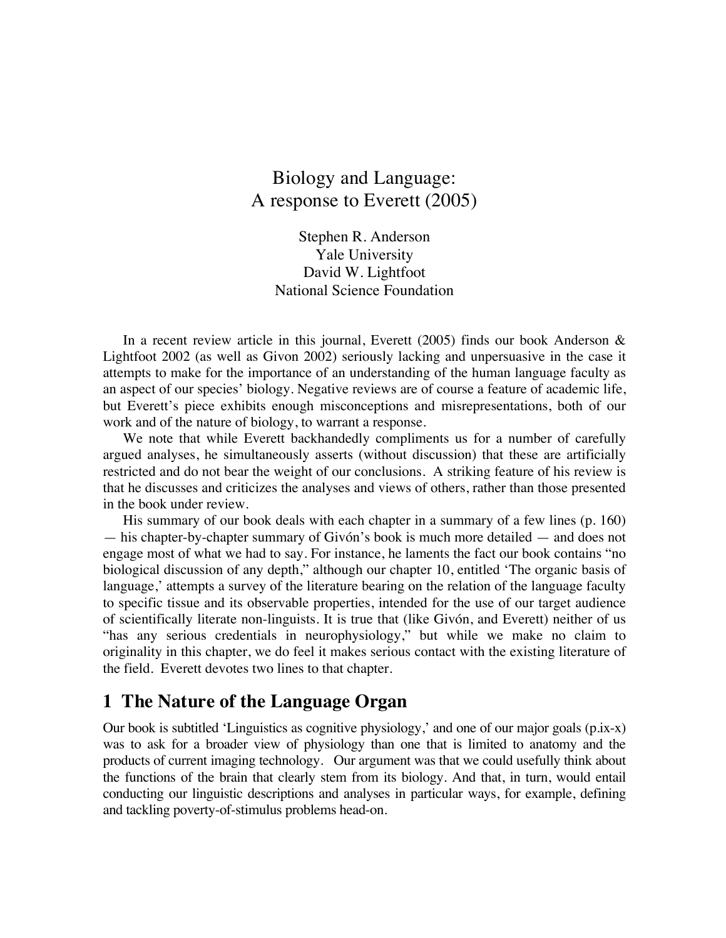## Biology and Language: A response to Everett (2005)

Stephen R. Anderson Yale University David W. Lightfoot National Science Foundation

In a recent review article in this journal, Everett (2005) finds our book Anderson & Lightfoot 2002 (as well as Givon 2002) seriously lacking and unpersuasive in the case it attempts to make for the importance of an understanding of the human language faculty as an aspect of our species' biology. Negative reviews are of course a feature of academic life, but Everett's piece exhibits enough misconceptions and misrepresentations, both of our work and of the nature of biology, to warrant a response.

We note that while Everett backhandedly compliments us for a number of carefully argued analyses, he simultaneously asserts (without discussion) that these are artificially restricted and do not bear the weight of our conclusions. A striking feature of his review is that he discusses and criticizes the analyses and views of others, rather than those presented in the book under review.

His summary of our book deals with each chapter in a summary of a few lines (p. 160) — his chapter-by-chapter summary of Givón's book is much more detailed — and does not engage most of what we had to say. For instance, he laments the fact our book contains "no biological discussion of any depth," although our chapter 10, entitled 'The organic basis of language,' attempts a survey of the literature bearing on the relation of the language faculty to specific tissue and its observable properties, intended for the use of our target audience of scientifically literate non-linguists. It is true that (like Givón, and Everett) neither of us "has any serious credentials in neurophysiology," but while we make no claim to originality in this chapter, we do feel it makes serious contact with the existing literature of the field. Everett devotes two lines to that chapter.

### **1 The Nature of the Language Organ**

Our book is subtitled 'Linguistics as cognitive physiology,' and one of our major goals (p.ix-x) was to ask for a broader view of physiology than one that is limited to anatomy and the products of current imaging technology. Our argument was that we could usefully think about the functions of the brain that clearly stem from its biology. And that, in turn, would entail conducting our linguistic descriptions and analyses in particular ways, for example, defining and tackling poverty-of-stimulus problems head-on.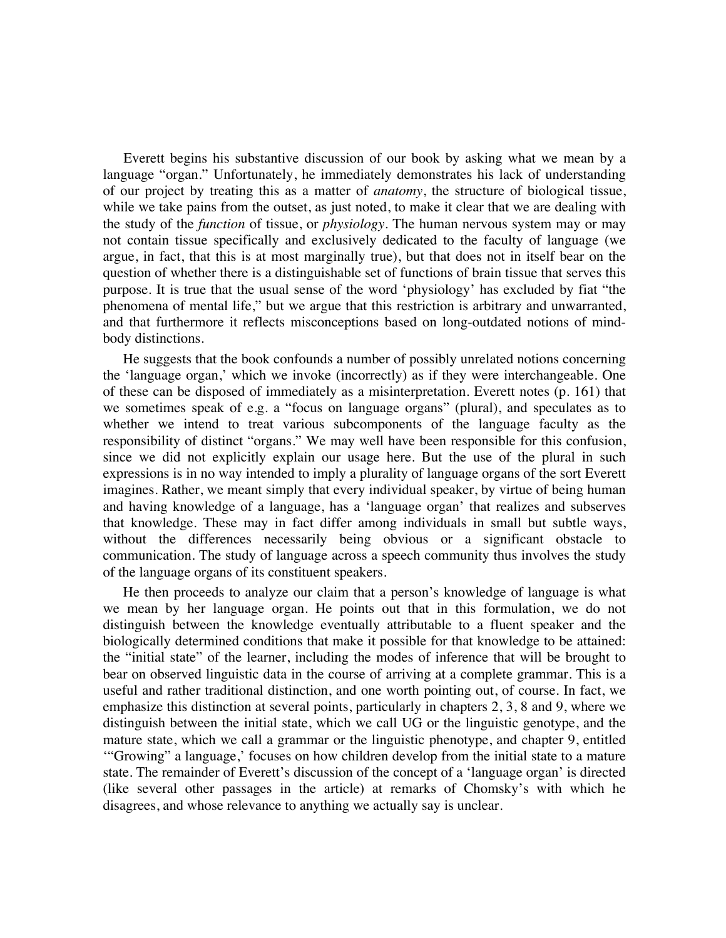Everett begins his substantive discussion of our book by asking what we mean by a language "organ." Unfortunately, he immediately demonstrates his lack of understanding of our project by treating this as a matter of *anatomy*, the structure of biological tissue, while we take pains from the outset, as just noted, to make it clear that we are dealing with the study of the *function* of tissue, or *physiology.* The human nervous system may or may not contain tissue specifically and exclusively dedicated to the faculty of language (we argue, in fact, that this is at most marginally true), but that does not in itself bear on the question of whether there is a distinguishable set of functions of brain tissue that serves this purpose. It is true that the usual sense of the word 'physiology' has excluded by fiat "the phenomena of mental life," but we argue that this restriction is arbitrary and unwarranted, and that furthermore it reflects misconceptions based on long-outdated notions of mindbody distinctions.

He suggests that the book confounds a number of possibly unrelated notions concerning the 'language organ,' which we invoke (incorrectly) as if they were interchangeable. One of these can be disposed of immediately as a misinterpretation. Everett notes (p. 161) that we sometimes speak of e.g. a "focus on language organs" (plural), and speculates as to whether we intend to treat various subcomponents of the language faculty as the responsibility of distinct "organs." We may well have been responsible for this confusion, since we did not explicitly explain our usage here. But the use of the plural in such expressions is in no way intended to imply a plurality of language organs of the sort Everett imagines. Rather, we meant simply that every individual speaker, by virtue of being human and having knowledge of a language, has a 'language organ' that realizes and subserves that knowledge. These may in fact differ among individuals in small but subtle ways, without the differences necessarily being obvious or a significant obstacle to communication. The study of language across a speech community thus involves the study of the language organs of its constituent speakers.

He then proceeds to analyze our claim that a person's knowledge of language is what we mean by her language organ. He points out that in this formulation, we do not distinguish between the knowledge eventually attributable to a fluent speaker and the biologically determined conditions that make it possible for that knowledge to be attained: the "initial state" of the learner, including the modes of inference that will be brought to bear on observed linguistic data in the course of arriving at a complete grammar. This is a useful and rather traditional distinction, and one worth pointing out, of course. In fact, we emphasize this distinction at several points, particularly in chapters 2, 3, 8 and 9, where we distinguish between the initial state, which we call UG or the linguistic genotype, and the mature state, which we call a grammar or the linguistic phenotype, and chapter 9, entitled '"Growing" a language,' focuses on how children develop from the initial state to a mature state. The remainder of Everett's discussion of the concept of a 'language organ' is directed (like several other passages in the article) at remarks of Chomsky's with which he disagrees, and whose relevance to anything we actually say is unclear.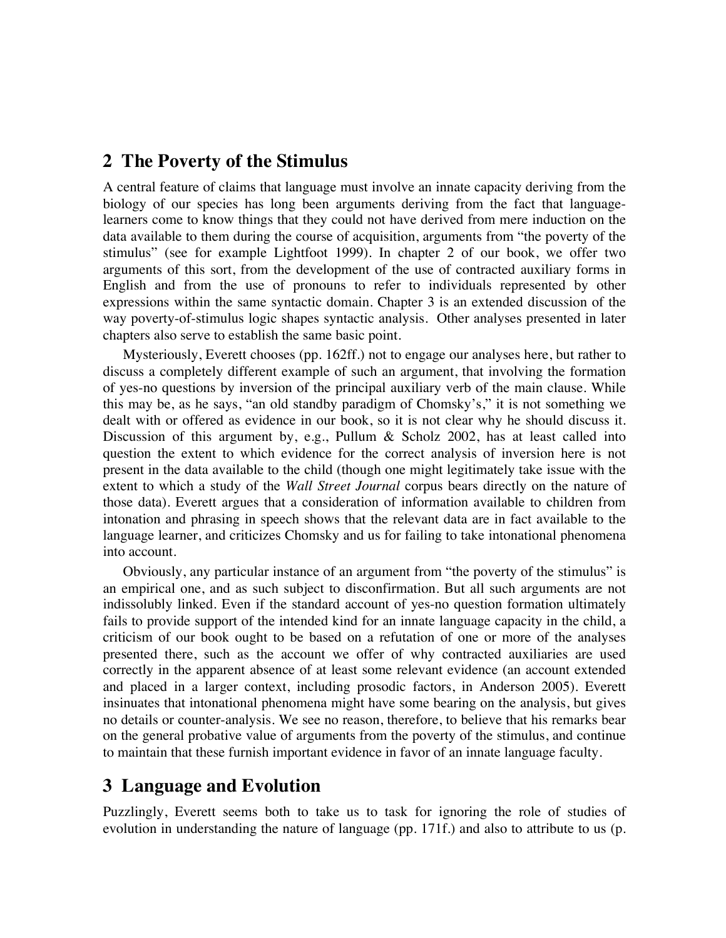### **2 The Poverty of the Stimulus**

A central feature of claims that language must involve an innate capacity deriving from the biology of our species has long been arguments deriving from the fact that languagelearners come to know things that they could not have derived from mere induction on the data available to them during the course of acquisition, arguments from "the poverty of the stimulus" (see for example Lightfoot 1999). In chapter 2 of our book, we offer two arguments of this sort, from the development of the use of contracted auxiliary forms in English and from the use of pronouns to refer to individuals represented by other expressions within the same syntactic domain. Chapter 3 is an extended discussion of the way poverty-of-stimulus logic shapes syntactic analysis. Other analyses presented in later chapters also serve to establish the same basic point.

Mysteriously, Everett chooses (pp. 162ff.) not to engage our analyses here, but rather to discuss a completely different example of such an argument, that involving the formation of yes-no questions by inversion of the principal auxiliary verb of the main clause. While this may be, as he says, "an old standby paradigm of Chomsky's," it is not something we dealt with or offered as evidence in our book, so it is not clear why he should discuss it. Discussion of this argument by, e.g., Pullum & Scholz 2002, has at least called into question the extent to which evidence for the correct analysis of inversion here is not present in the data available to the child (though one might legitimately take issue with the extent to which a study of the *Wall Street Journal* corpus bears directly on the nature of those data). Everett argues that a consideration of information available to children from intonation and phrasing in speech shows that the relevant data are in fact available to the language learner, and criticizes Chomsky and us for failing to take intonational phenomena into account.

Obviously, any particular instance of an argument from "the poverty of the stimulus" is an empirical one, and as such subject to disconfirmation. But all such arguments are not indissolubly linked. Even if the standard account of yes-no question formation ultimately fails to provide support of the intended kind for an innate language capacity in the child, a criticism of our book ought to be based on a refutation of one or more of the analyses presented there, such as the account we offer of why contracted auxiliaries are used correctly in the apparent absence of at least some relevant evidence (an account extended and placed in a larger context, including prosodic factors, in Anderson 2005). Everett insinuates that intonational phenomena might have some bearing on the analysis, but gives no details or counter-analysis. We see no reason, therefore, to believe that his remarks bear on the general probative value of arguments from the poverty of the stimulus, and continue to maintain that these furnish important evidence in favor of an innate language faculty.

### **3 Language and Evolution**

Puzzlingly, Everett seems both to take us to task for ignoring the role of studies of evolution in understanding the nature of language (pp. 171f.) and also to attribute to us (p.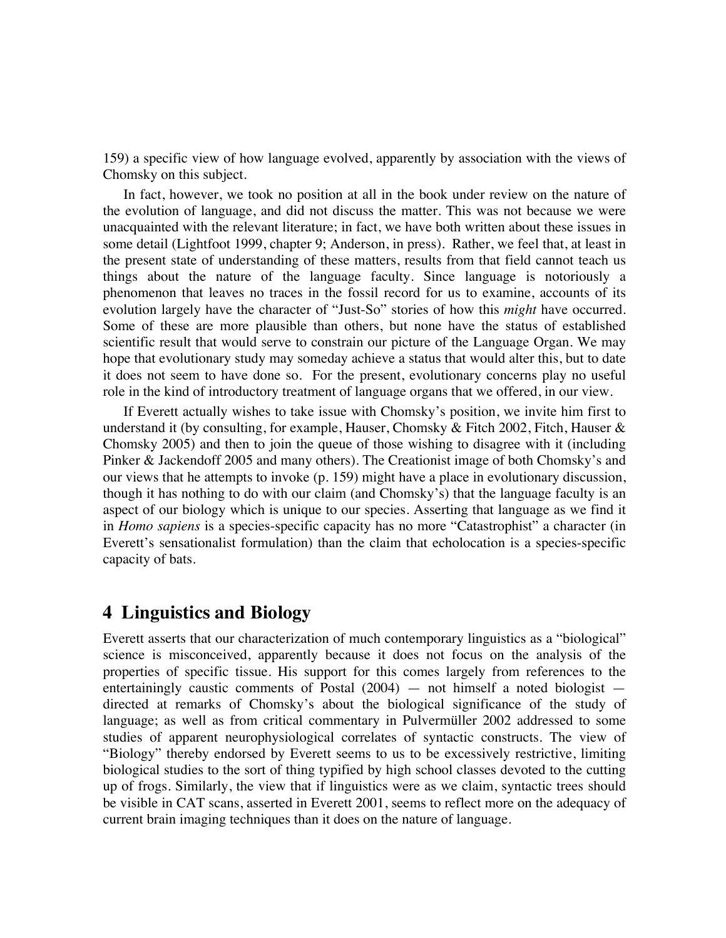159) a specific view of how language evolved, apparently by association with the views of Chomsky on this subject.

In fact, however, we took no position at all in the book under review on the nature of the evolution of language, and did not discuss the matter. This was not because we were unacquainted with the relevant literature; in fact, we have both written about these issues in some detail (Lightfoot 1999, chapter 9; Anderson, in press). Rather, we feel that, at least in the present state of understanding of these matters, results from that field cannot teach us things about the nature of the language faculty. Since language is notoriously a phenomenon that leaves no traces in the fossil record for us to examine, accounts of its evolution largely have the character of "Just-So" stories of how this *might* have occurred. Some of these are more plausible than others, but none have the status of established scientific result that would serve to constrain our picture of the Language Organ. We may hope that evolutionary study may someday achieve a status that would alter this, but to date it does not seem to have done so. For the present, evolutionary concerns play no useful role in the kind of introductory treatment of language organs that we offered, in our view.

If Everett actually wishes to take issue with Chomsky's position, we invite him first to understand it (by consulting, for example, Hauser, Chomsky & Fitch 2002, Fitch, Hauser & Chomsky 2005) and then to join the queue of those wishing to disagree with it (including Pinker & Jackendoff 2005 and many others). The Creationist image of both Chomsky's and our views that he attempts to invoke (p. 159) might have a place in evolutionary discussion, though it has nothing to do with our claim (and Chomsky's) that the language faculty is an aspect of our biology which is unique to our species. Asserting that language as we find it in *Homo sapiens* is a species-specific capacity has no more "Catastrophist" a character (in Everett's sensationalist formulation) than the claim that echolocation is a species-specific capacity of bats.

### **4 Linguistics and Biology**

Everett asserts that our characterization of much contemporary linguistics as a "biological" science is misconceived, apparently because it does not focus on the analysis of the properties of specific tissue. His support for this comes largely from references to the entertainingly caustic comments of Postal  $(2004)$  — not himself a noted biologist directed at remarks of Chomsky's about the biological significance of the study of language; as well as from critical commentary in Pulvermüller 2002 addressed to some studies of apparent neurophysiological correlates of syntactic constructs. The view of "Biology" thereby endorsed by Everett seems to us to be excessively restrictive, limiting biological studies to the sort of thing typified by high school classes devoted to the cutting up of frogs. Similarly, the view that if linguistics were as we claim, syntactic trees should be visible in CAT scans, asserted in Everett 2001, seems to reflect more on the adequacy of current brain imaging techniques than it does on the nature of language.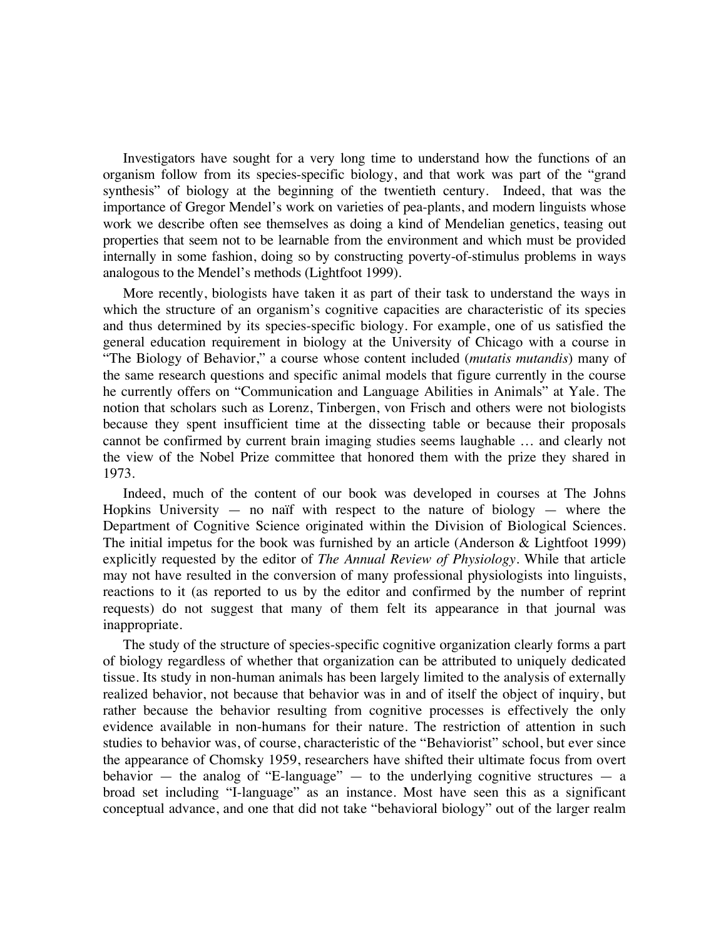Investigators have sought for a very long time to understand how the functions of an organism follow from its species-specific biology, and that work was part of the "grand synthesis" of biology at the beginning of the twentieth century. Indeed, that was the importance of Gregor Mendel's work on varieties of pea-plants, and modern linguists whose work we describe often see themselves as doing a kind of Mendelian genetics, teasing out properties that seem not to be learnable from the environment and which must be provided internally in some fashion, doing so by constructing poverty-of-stimulus problems in ways analogous to the Mendel's methods (Lightfoot 1999).

More recently, biologists have taken it as part of their task to understand the ways in which the structure of an organism's cognitive capacities are characteristic of its species and thus determined by its species-specific biology. For example, one of us satisfied the general education requirement in biology at the University of Chicago with a course in "The Biology of Behavior," a course whose content included (*mutatis mutandis*) many of the same research questions and specific animal models that figure currently in the course he currently offers on "Communication and Language Abilities in Animals" at Yale. The notion that scholars such as Lorenz, Tinbergen, von Frisch and others were not biologists because they spent insufficient time at the dissecting table or because their proposals cannot be confirmed by current brain imaging studies seems laughable … and clearly not the view of the Nobel Prize committee that honored them with the prize they shared in 1973.

Indeed, much of the content of our book was developed in courses at The Johns Hopkins University  $-$  no naïf with respect to the nature of biology  $-$  where the Department of Cognitive Science originated within the Division of Biological Sciences. The initial impetus for the book was furnished by an article (Anderson & Lightfoot 1999) explicitly requested by the editor of *The Annual Review of Physiology*. While that article may not have resulted in the conversion of many professional physiologists into linguists, reactions to it (as reported to us by the editor and confirmed by the number of reprint requests) do not suggest that many of them felt its appearance in that journal was inappropriate.

The study of the structure of species-specific cognitive organization clearly forms a part of biology regardless of whether that organization can be attributed to uniquely dedicated tissue. Its study in non-human animals has been largely limited to the analysis of externally realized behavior, not because that behavior was in and of itself the object of inquiry, but rather because the behavior resulting from cognitive processes is effectively the only evidence available in non-humans for their nature. The restriction of attention in such studies to behavior was, of course, characteristic of the "Behaviorist" school, but ever since the appearance of Chomsky 1959, researchers have shifted their ultimate focus from overt behavior  $-$  the analog of "E-language"  $-$  to the underlying cognitive structures  $-$  a broad set including "I-language" as an instance. Most have seen this as a significant conceptual advance, and one that did not take "behavioral biology" out of the larger realm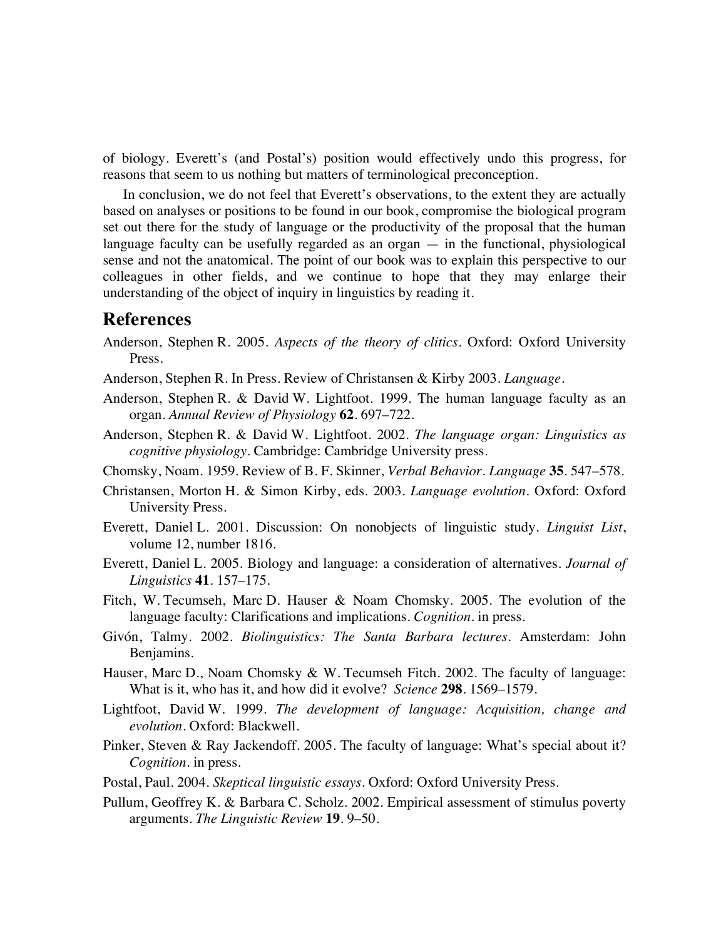of biology. Everett's (and Postal's) position would effectively undo this progress, for reasons that seem to us nothing but matters of terminological preconception.

In conclusion, we do not feel that Everett's observations, to the extent they are actually based on analyses or positions to be found in our book, compromise the biological program set out there for the study of language or the productivity of the proposal that the human language faculty can be usefully regarded as an organ — in the functional, physiological sense and not the anatomical. The point of our book was to explain this perspective to our colleagues in other fields, and we continue to hope that they may enlarge their understanding of the object of inquiry in linguistics by reading it.

#### **References**

- Anderson, Stephen R. 2005. *Aspects of the theory of clitics*. Oxford: Oxford University Press.
- Anderson, Stephen R. In Press. Review of Christansen & Kirby 2003. *Language*.
- Anderson, Stephen R. & David W. Lightfoot. 1999. The human language faculty as an organ. *Annual Review of Physiology* **62**. 697–722.
- Anderson, Stephen R. & David W. Lightfoot. 2002. *The language organ: Linguistics as cognitive physiology*. Cambridge: Cambridge University press.
- Chomsky, Noam. 1959. Review of B. F. Skinner, *Verbal Behavior*. *Language* **35**. 547–578.
- Christansen, Morton H. & Simon Kirby, eds. 2003. *Language evolution*. Oxford: Oxford University Press.
- Everett, Daniel L. 2001. Discussion: On nonobjects of linguistic study. *Linguist List*, volume 12, number 1816.
- Everett, Daniel L. 2005. Biology and language: a consideration of alternatives. *Journal of Linguistics* **41**. 157–175.
- Fitch, W. Tecumseh, Marc D. Hauser & Noam Chomsky. 2005. The evolution of the language faculty: Clarifications and implications. *Cognition*. in press.
- Givón, Talmy. 2002. *Biolinguistics: The Santa Barbara lectures*. Amsterdam: John Benjamins.
- Hauser, Marc D., Noam Chomsky & W. Tecumseh Fitch. 2002. The faculty of language: What is it, who has it, and how did it evolve? *Science* **298**. 1569–1579.
- Lightfoot, David W. 1999. *The development of language: Acquisition, change and evolution*. Oxford: Blackwell.
- Pinker, Steven & Ray Jackendoff. 2005. The faculty of language: What's special about it? *Cognition*. in press.
- Postal, Paul. 2004. *Skeptical linguistic essays*. Oxford: Oxford University Press.
- Pullum, Geoffrey K. & Barbara C. Scholz. 2002. Empirical assessment of stimulus poverty arguments. *The Linguistic Review* **19**. 9–50.